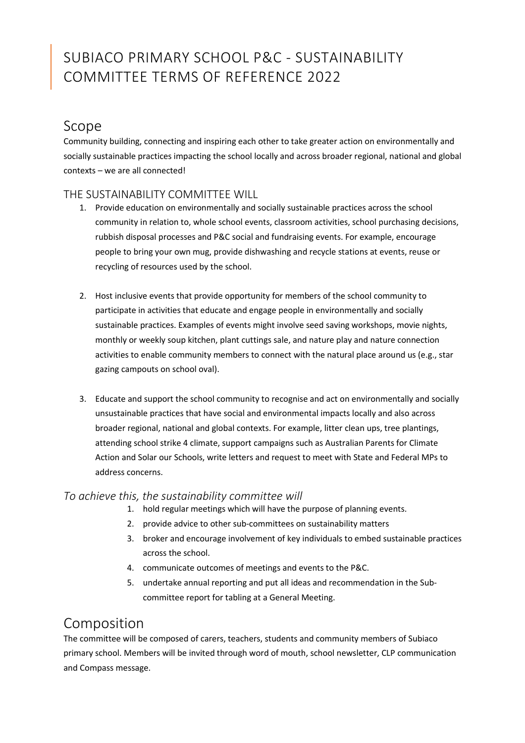# SUBIACO PRIMARY SCHOOL P&C - SUSTAINABILITY COMMITTEE TERMS OF REFERENCE 2022

### Scope

Community building, connecting and inspiring each other to take greater action on environmentally and socially sustainable practices impacting the school locally and across broader regional, national and global contexts – we are all connected!

#### THE SUSTAINABILITY COMMITTEE WILL

- 1. Provide education on environmentally and socially sustainable practices across the school community in relation to, whole school events, classroom activities, school purchasing decisions, rubbish disposal processes and P&C social and fundraising events. For example, encourage people to bring your own mug, provide dishwashing and recycle stations at events, reuse or recycling of resources used by the school.
- 2. Host inclusive events that provide opportunity for members of the school community to participate in activities that educate and engage people in environmentally and socially sustainable practices. Examples of events might involve seed saving workshops, movie nights, monthly or weekly soup kitchen, plant cuttings sale, and nature play and nature connection activities to enable community members to connect with the natural place around us (e.g., star gazing campouts on school oval).
- 3. Educate and support the school community to recognise and act on environmentally and socially unsustainable practices that have social and environmental impacts locally and also across broader regional, national and global contexts. For example, litter clean ups, tree plantings, attending school strike 4 climate, support campaigns such as Australian Parents for Climate Action and Solar our Schools, write letters and request to meet with State and Federal MPs to address concerns.

#### To achieve this, the sustainability committee will

- 1. hold regular meetings which will have the purpose of planning events.
- 2. provide advice to other sub-committees on sustainability matters
- 3. broker and encourage involvement of key individuals to embed sustainable practices across the school.
- 4. communicate outcomes of meetings and events to the P&C.
- 5. undertake annual reporting and put all ideas and recommendation in the Subcommittee report for tabling at a General Meeting.

### Composition

The committee will be composed of carers, teachers, students and community members of Subiaco primary school. Members will be invited through word of mouth, school newsletter, CLP communication and Compass message.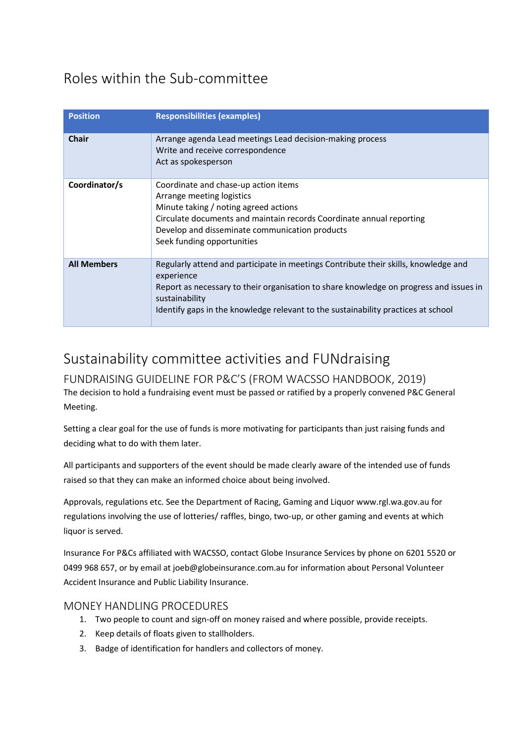### Roles within the Sub-committee

| <b>Position</b>    | <b>Responsibilities (examples)</b>                                                                                                                                                                                                                                                                 |
|--------------------|----------------------------------------------------------------------------------------------------------------------------------------------------------------------------------------------------------------------------------------------------------------------------------------------------|
| <b>Chair</b>       | Arrange agenda Lead meetings Lead decision-making process<br>Write and receive correspondence<br>Act as spokesperson                                                                                                                                                                               |
| Coordinator/s      | Coordinate and chase-up action items<br>Arrange meeting logistics<br>Minute taking / noting agreed actions<br>Circulate documents and maintain records Coordinate annual reporting<br>Develop and disseminate communication products<br>Seek funding opportunities                                 |
| <b>All Members</b> | Regularly attend and participate in meetings Contribute their skills, knowledge and<br>experience<br>Report as necessary to their organisation to share knowledge on progress and issues in<br>sustainability<br>Identify gaps in the knowledge relevant to the sustainability practices at school |

## Sustainability committee activities and FUNdraising

FUNDRAISING GUIDELINE FOR P&C'S (FROM WACSSO HANDBOOK, 2019) The decision to hold a fundraising event must be passed or ratified by a properly convened P&C General Meeting.

Setting a clear goal for the use of funds is more motivating for participants than just raising funds and deciding what to do with them later.

All participants and supporters of the event should be made clearly aware of the intended use of funds raised so that they can make an informed choice about being involved.

Approvals, regulations etc. See the Department of Racing, Gaming and Liquor www.rgl.wa.gov.au for regulations involving the use of lotteries/ raffles, bingo, two-up, or other gaming and events at which liquor is served.

Insurance For P&Cs affiliated with WACSSO, contact Globe Insurance Services by phone on 6201 5520 or 0499 968 657, or by email at joeb@globeinsurance.com.au for information about Personal Volunteer Accident Insurance and Public Liability Insurance.

#### MONEY HANDLING PROCEDURES

- 1. Two people to count and sign-off on money raised and where possible, provide receipts.
- 2. Keep details of floats given to stallholders.
- 3. Badge of identification for handlers and collectors of money.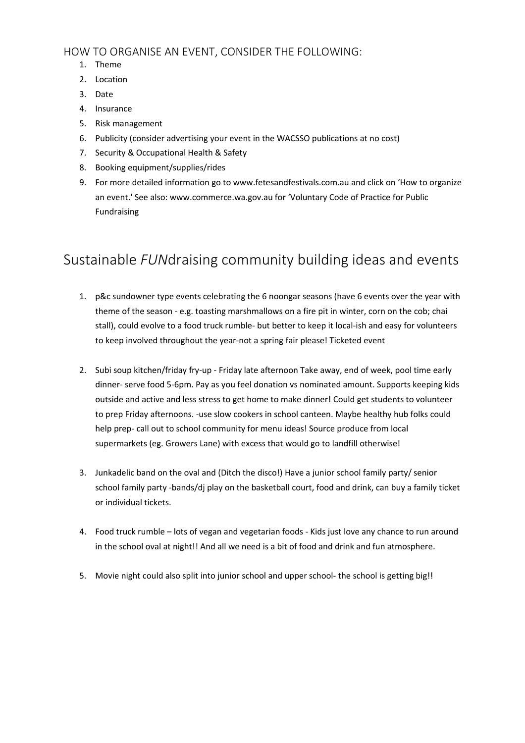#### HOW TO ORGANISE AN EVENT, CONSIDER THE FOLLOWING:

- 1. Theme
- 2. Location
- 3. Date
- 4. Insurance
- 5. Risk management
- 6. Publicity (consider advertising your event in the WACSSO publications at no cost)
- 7. Security & Occupational Health & Safety
- 8. Booking equipment/supplies/rides
- 9. For more detailed information go to www.fetesandfestivals.com.au and click on 'How to organize an event.' See also: www.commerce.wa.gov.au for 'Voluntary Code of Practice for Public Fundraising

### Sustainable FUNdraising community building ideas and events

- 1. p&c sundowner type events celebrating the 6 noongar seasons (have 6 events over the year with theme of the season - e.g. toasting marshmallows on a fire pit in winter, corn on the cob; chai stall), could evolve to a food truck rumble- but better to keep it local-ish and easy for volunteers to keep involved throughout the year-not a spring fair please! Ticketed event
- 2. Subi soup kitchen/friday fry-up Friday late afternoon Take away, end of week, pool time early dinner- serve food 5-6pm. Pay as you feel donation vs nominated amount. Supports keeping kids outside and active and less stress to get home to make dinner! Could get students to volunteer to prep Friday afternoons. -use slow cookers in school canteen. Maybe healthy hub folks could help prep- call out to school community for menu ideas! Source produce from local supermarkets (eg. Growers Lane) with excess that would go to landfill otherwise!
- 3. Junkadelic band on the oval and (Ditch the disco!) Have a junior school family party/ senior school family party -bands/dj play on the basketball court, food and drink, can buy a family ticket or individual tickets.
- 4. Food truck rumble lots of vegan and vegetarian foods Kids just love any chance to run around in the school oval at night!! And all we need is a bit of food and drink and fun atmosphere.
- 5. Movie night could also split into junior school and upper school- the school is getting big!!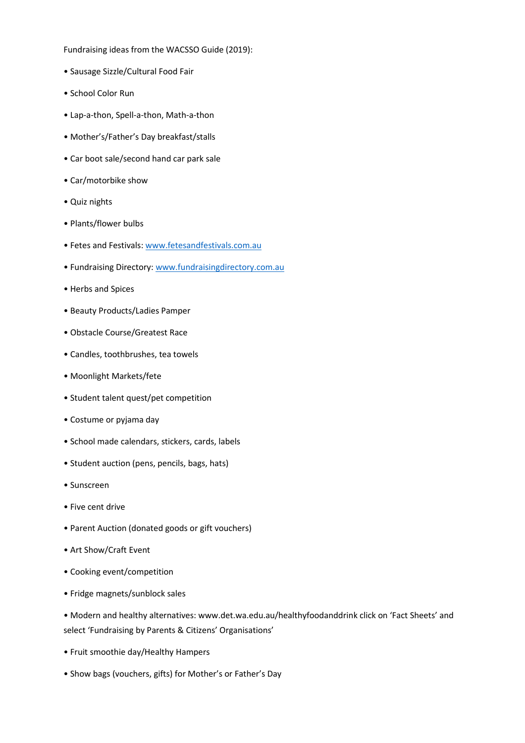Fundraising ideas from the WACSSO Guide (2019):

- Sausage Sizzle/Cultural Food Fair
- School Color Run
- Lap-a-thon, Spell-a-thon, Math-a-thon
- Mother's/Father's Day breakfast/stalls
- Car boot sale/second hand car park sale
- Car/motorbike show
- Quiz nights
- Plants/flower bulbs
- Fetes and Festivals: www.fetesandfestivals.com.au
- Fundraising Directory: www.fundraisingdirectory.com.au
- Herbs and Spices
- Beauty Products/Ladies Pamper
- Obstacle Course/Greatest Race
- Candles, toothbrushes, tea towels
- Moonlight Markets/fete
- Student talent quest/pet competition
- Costume or pyjama day
- School made calendars, stickers, cards, labels
- Student auction (pens, pencils, bags, hats)
- Sunscreen
- Five cent drive
- Parent Auction (donated goods or gift vouchers)
- Art Show/Craft Event
- Cooking event/competition
- Fridge magnets/sunblock sales

• Modern and healthy alternatives: www.det.wa.edu.au/healthyfoodanddrink click on 'Fact Sheets' and select 'Fundraising by Parents & Citizens' Organisations'

- Fruit smoothie day/Healthy Hampers
- Show bags (vouchers, gifts) for Mother's or Father's Day